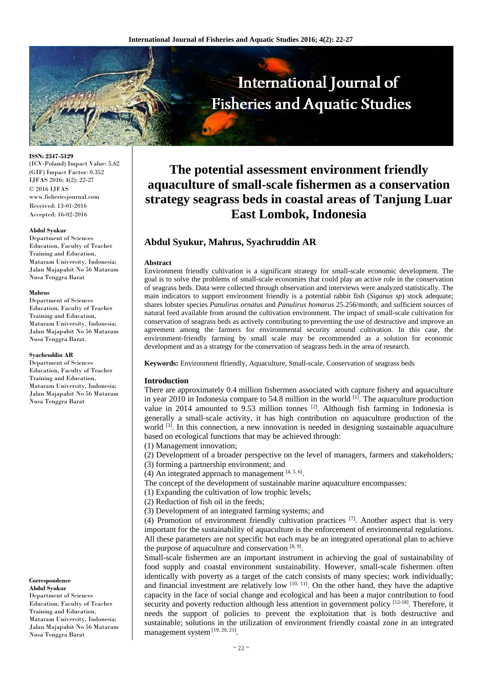

**ISSN: 2347-5129**  (ICV-Poland) Impact Value: 5.62 (GIF) Impact Factor: 0.352 IJFAS 2016; 4(2): 22-27 © 2016 IJFAS www.fisheriesjournal.com Received: 13-01-2016 Accepted: 16-02-2016

#### **Abdul Syukur**

Department of Sciences Education, Faculty of Teacher Training and Education, Mataram University, Indonesia; Jalan Majapahit No 56 Mataram Nusa Tenggra Barat

#### **Mahrus**

Department of Sciences Education, Faculty of Teacher Training and Education, Mataram University, Indonesia; Jalan Majapahit No 56 Mataram Nusa Tenggra Barat.

#### **Syachruddin AR**

Department of Sciences Education, Faculty of Teacher Training and Education, Mataram University, Indonesia; Jalan Majapahit No 56 Mataram Nusa Tenggra Barat

#### **Correspondence**

**Abdul Syukur**  Department of Sciences Education, Faculty of Teacher Training and Education, Mataram University, Indonesia; Jalan Majapahit No 56 Mataram Nusa Tenggra Barat

# **The potential assessment environment friendly aquaculture of small-scale fishermen as a conservation strategy seagrass beds in coastal areas of Tanjung Luar East Lombok, Indonesia**

## **Abdul Syukur, Mahrus, Syachruddin AR**

#### **Abstract**

Environment friendly cultivation is a significant strategy for small-scale economic development. The goal is to solve the problems of small-scale economies that could play an active role in the conservation of seagrass beds. Data were collected through observation and interviews were analyzed statistically. The main indicators to support environment friendly is a potential rabbit fish (*Siganus sp*) stock adequate; shares lobster species *Panulirus ornatus* and *Panulirus homarus* 25.256/month; and sufficient sources of natural feed available from around the cultivation environment. The impact of small-scale cultivation for conservation of seagrass beds as actively contributing to preventing the use of destructive and improve an agreement among the farmers for environmental security around cultivation. In this case, the environment-friendly farming by small scale may be recommended as a solution for economic development and as a strategy for the conservation of seagrass beds in the area of research.

**Keywords:** Environment flriendly, Aquaculture, Small-scale, Conservation of seagrass beds

## **Introduction**

There are approximately 0.4 million fishermen associated with capture fishery and aquaculture in year 2010 in Indonesia compare to 54.8 million in the world  $[1]$ . The aquaculture production value in 2014 amounted to 9.53 million tonnes  $[2]$ . Although fish farming in Indonesia is generally a small-scale activity, it has high contribution on aquaculture production of the world  $[3]$ . In this connection, a new innovation is needed in designing sustainable aquaculture based on ecological functions that may be achieved through:

(1) Management innovation;

(2) Development of a broader perspective on the level of managers, farmers and stakeholders;

(3) forming a partnership environment; and

(4) An integrated approach to management  $[4, 5, 6]$ .

The concept of the development of sustainable marine aquaculture encompasses:

(1) Expanding the cultivation of low trophic levels;

(2) Reduction of fish oil in the feeds;

(3) Development of an integrated farming systems; and

(4) Promotion of environment friendly cultivation practices  $[7]$ . Another aspect that is very important for the sustainability of aquaculture is the enforcement of environmental regulations. All these parameters are not specific but each may be an integrated operational plan to achieve the purpose of aquaculture and conservation  $[8, 9]$ .

Small-scale fishermen are an important instrument in achieving the goal of sustainability of food supply and coastal environment sustainability. However, small-scale fishermen often identically with poverty as a target of the catch consists of many species; work individually; and financial investment are relatively low  $[10, 11]$ . On the other hand, they have the adaptive capacity in the face of social change and ecological and has been a major contribution to food security and poverty reduction although less attention in government policy [12-18]. Therefore, it needs the support of policies to prevent the exploitation that is both destructive and sustainable; solutions in the utilization of environment friendly coastal zone in an integrated management system [19, 20, 21].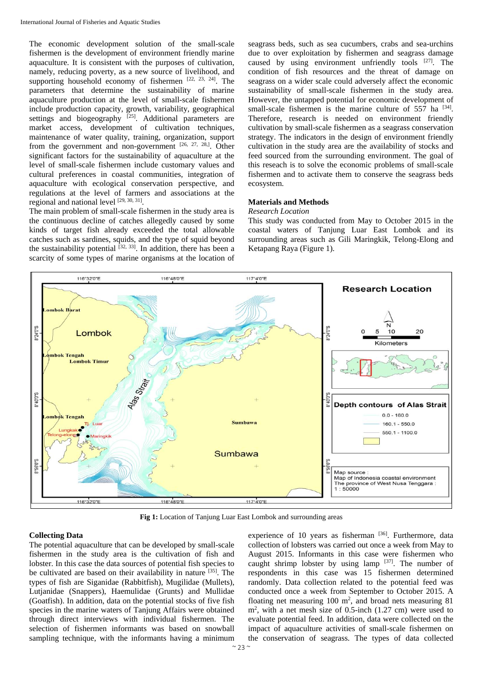The economic development solution of the small-scale fishermen is the development of environment friendly marine aquaculture. It is consistent with the purposes of cultivation, namely, reducing poverty, as a new source of livelihood, and supporting household economy of fishermen [22, 23, 24]. The parameters that determine the sustainability of marine aquaculture production at the level of small-scale fishermen include production capacity, growth, variability, geographical settings and biogeography <sup>[25]</sup>. Additional parameters are market access, development of cultivation techniques, maintenance of water quality, training, organization, support from the government and non-government [26, 27, 28,]. Other significant factors for the sustainability of aquaculture at the level of small-scale fishermen include customary values and cultural preferences in coastal communities, integration of aquaculture with ecological conservation perspective, and regulations at the level of farmers and associations at the regional and national level [29, 30, 31].

The main problem of small-scale fishermen in the study area is the continuous decline of catches allegedly caused by some kinds of target fish already exceeded the total allowable catches such as sardines, squids, and the type of squid beyond the sustainability potential  $[32, 33]$ . In addition, there has been a scarcity of some types of marine organisms at the location of seagrass beds, such as sea cucumbers, crabs and sea-urchins due to over exploitation by fishermen and seagrass damage caused by using environment unfriendly tools [27]. The condition of fish resources and the threat of damage on seagrass on a wider scale could adversely affect the economic sustainability of small-scale fishermen in the study area. However, the untapped potential for economic development of small-scale fishermen is the marine culture of  $557$  ha  $^{[34]}$ . Therefore, research is needed on environment friendly cultivation by small-scale fishermen as a seagrass conservation strategy. The indicators in the design of environment friendly cultivation in the study area are the availability of stocks and feed sourced from the surrounding environment. The goal of this reseach is to solve the economic problems of small-scale fishermen and to activate them to conserve the seagrass beds ecosystem.

## **Materials and Methods**

#### *Research Location*

This study was conducted from May to October 2015 in the coastal waters of Tanjung Luar East Lombok and its surrounding areas such as Gili Maringkik, Telong-Elong and Ketapang Raya (Figure 1).



**Fig 1:** Location of Tanjung Luar East Lombok and surrounding areas

#### **Collecting Data**

The potential aquaculture that can be developed by small-scale fishermen in the study area is the cultivation of fish and lobster. In this case the data sources of potential fish species to be cultivated are based on their availability in nature [35]. The types of fish are Siganidae (Rabbitfish), Mugilidae (Mullets), Lutjanidae (Snappers), Haemulidae (Grunts) and Mullidae (Goatfish). In addition, data on the potential stocks of five fish species in the marine waters of Tanjung Affairs were obtained through direct interviews with individual fishermen. The selection of fishermen informants was based on snowball sampling technique, with the informants having a minimum

experience of 10 years as fisherman [36]. Furthermore, data collection of lobsters was carried out once a week from May to August 2015. Informants in this case were fishermen who caught shrimp lobster by using lamp  $[37]$ . The number of respondents in this case was 15 fishermen determined randomly. Data collection related to the potential feed was conducted once a week from September to October 2015. A floating net measuring  $100 \text{ m}^2$ , and broad nets measuring  $81$ m<sup>2</sup>, with a net mesh size of 0.5-inch (1.27 cm) were used to evaluate potential feed. In addition, data were collected on the impact of aquaculture activities of small-scale fishermen on the conservation of seagrass. The types of data collected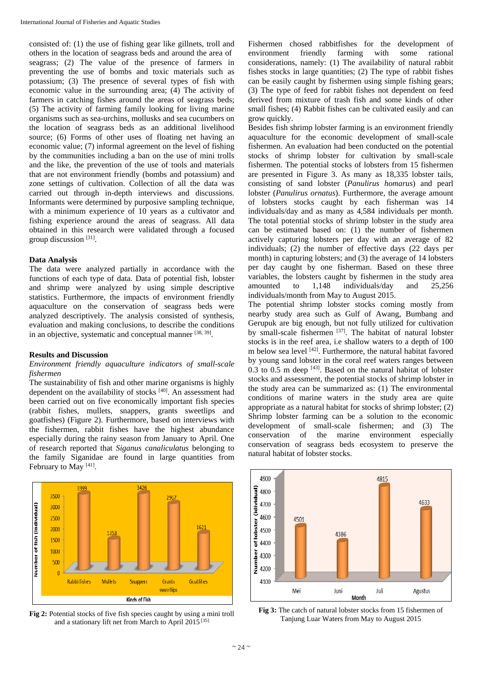consisted of: (1) the use of fishing gear like gillnets, troll and others in the location of seagrass beds and around the area of seagrass; (2) The value of the presence of farmers in preventing the use of bombs and toxic materials such as potassium; (3) The presence of several types of fish with economic value in the surrounding area; (4) The activity of farmers in catching fishes around the areas of seagrass beds; (5) The activity of farming family looking for living marine organisms such as sea-urchins, mollusks and sea cucumbers on the location of seagrass beds as an additional livelihood source; (6) Forms of other uses of floating net having an economic value; (7) informal agreement on the level of fishing by the communities including a ban on the use of mini trolls and the like, the prevention of the use of tools and materials that are not environment friendly (bombs and potassium) and zone settings of cultivation. Collection of all the data was carried out through in-depth interviews and discussions. Informants were determined by purposive sampling technique, with a minimum experience of 10 years as a cultivator and fishing experience around the areas of seagrass. All data obtained in this research were validated through a focused group discussion [31].

## **Data Analysis**

The data were analyzed partially in accordance with the functions of each type of data. Data of potential fish, lobster and shrimp were analyzed by using simple descriptive statistics. Furthermore, the impacts of environment friendly aquaculture on the conservation of seagrass beds were analyzed descriptively. The analysis consisted of synthesis, evaluation and making conclusions, to describe the conditions in an objective, systematic and conceptual manner [38, 39].

## **Results and Discussion**

#### *Environment friendly aquaculture indicators of small-scale fishermen*

The sustainability of fish and other marine organisms is highly dependent on the availability of stocks [40]. An assessment had been carried out on five economically important fish species (rabbit fishes, mullets, snappers, grants sweetlips and goatfishes) (Figure 2). Furthermore, based on interviews with the fishermen, rabbit fishes have the highest abundance especially during the rainy season from January to April. One of research reported that *Siganus canaliculatus* belonging to the family Siganidae are found in large quantities from February to May<sup>[41]</sup>.



**Fig 2:** Potential stocks of five fish species caught by using a mini troll and a stationary lift net from March to April 2015 [35]

Fishermen chosed rabbitfishes for the development of environment friendly farming with some rational considerations, namely: (1) The availability of natural rabbit fishes stocks in large quantities; (2) The type of rabbit fishes can be easily caught by fishermen using simple fishing gears; (3) The type of feed for rabbit fishes not dependent on feed derived from mixture of trash fish and some kinds of other small fishes; (4) Rabbit fishes can be cultivated easily and can grow quickly.

Besides fish shrimp lobster farming is an environment friendly aquaculture for the economic development of small-scale fishermen. An evaluation had been conducted on the potential stocks of shrimp lobster for cultivation by small-scale fishermen. The potential stocks of lobsters from 15 fishermen are presented in Figure 3. As many as 18,335 lobster tails, consisting of sand lobster (*Panulirus homarus*) and pearl lobster (*Panulirus ornatus*). Furthermore, the average amount of lobsters stocks caught by each fisherman was 14 individuals/day and as many as 4,584 individuals per month. The total potential stocks of shrimp lobster in the study area can be estimated based on: (1) the number of fishermen actively capturing lobsters per day with an average of 82 individuals; (2) the number of effective days (22 days per month) in capturing lobsters; and (3) the average of 14 lobsters per day caught by one fisherman. Based on these three variables, the lobsters caught by fishermen in the study area amounted to 1,148 individuals/day and 25,256 individuals/month from May to August 2015.

The potential shrimp lobster stocks coming mostly from nearby study area such as Gulf of Awang, Bumbang and Gerupuk are big enough, but not fully utilized for cultivation by small-scale fishermen [37]. The habitat of natural lobster stocks is in the reef area, i.e shallow waters to a depth of 100 m below sea level [42]. Furthermore, the natural habitat favored by young sand lobster in the coral reef waters ranges between  $0.3$  to  $0.5$  m deep  $[43]$ . Based on the natural habitat of lobster stocks and assessment, the potential stocks of shrimp lobster in the study area can be summarized as: (1) The environmental conditions of marine waters in the study area are quite appropriate as a natural habitat for stocks of shrimp lobster; (2) Shrimp lobster farming can be a solution to the economic development of small-scale fishermen; and (3) The conservation of the marine environment especially conservation of seagrass beds ecosystem to preserve the natural habitat of lobster stocks.



**Fig 3:** The catch of natural lobster stocks from 15 fishermen of Tanjung Luar Waters from May to August 2015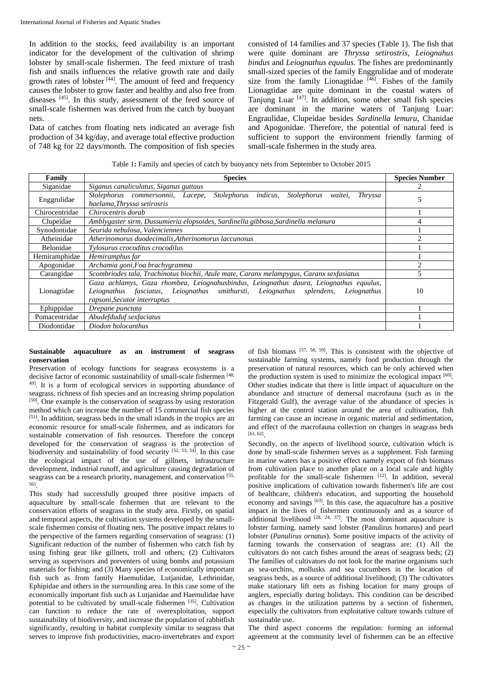In addition to the stocks, feed availability is an important indicator for the development of the cultivation of shrimp lobster by small-scale fishermen. The feed mixture of trash fish and snails influences the relative growth rate and daily growth rates of lobster  $[44]$ . The amount of feed and frequency causes the lobster to grow faster and healthy and also free from diseases [45]. In this study, assessment of the feed source of small-scale fishermen was derived from the catch by buoyant nets.

Data of catches from floating nets indicated an average fish production of 34 kg/day, and average total effective production of 748 kg for 22 days/month. The composition of fish species consisted of 14 families and 37 species (Table 1). The fish that were quite dominant are *Thryssa setirostris, Leiognahus bindus* and *Leiognathus equulus*. The fishes are predominantly small-sized species of the family Enggrulidae and of moderate size from the family Lionagtidae  $[46]$ . Fishes of the family Lionagtidae are quite dominant in the coastal waters of Tanjung Luar [47]. In addition, some other small fish species are dominant in the marine waters of Tanjung Luar: Engraulidae, Clupeidae besides *Sardinella lemuru*, Chanidae and Apogonidae. Therefore, the potential of natural feed is sufficient to support the environment friendly farming of small-scale fishermen in the study area.

Table 1**:** Family and species of catch by buoyancy nets from September to October 2015

| Family           | <b>Species</b>                                                                                                                                                                                                 | <b>Species Number</b> |
|------------------|----------------------------------------------------------------------------------------------------------------------------------------------------------------------------------------------------------------|-----------------------|
| Siganidae        | Siganus canaliculatus, Siganus guttaus                                                                                                                                                                         |                       |
| Enggrulidae      | Stolephorus indicus,<br>Stolephorus<br>Stolephorus commersonnii, Lacepe,<br>Thryssa<br>waitei.<br>baelama, Thryssa setirosris                                                                                  |                       |
| Chirocentridae   | Chirocentris dorab                                                                                                                                                                                             |                       |
| Clupeidae        | Amblygaster sirm, Dussumieria elopsoides, Sardinella gibbosa, Sardinella melanura                                                                                                                              |                       |
| Synodontidae     | Seurida nebulosa, Valenciennes                                                                                                                                                                                 |                       |
| Atheinidae       | Atherinomorus duodecimalis, Atherinomorus laccunosus                                                                                                                                                           |                       |
| <b>Belonidae</b> | Tylosurus crocoditus crocodilus                                                                                                                                                                                |                       |
| Hemiramphidae    | Hemiramphus far                                                                                                                                                                                                |                       |
| Apogonidae       | Archamia goni, Foa brachygramma                                                                                                                                                                                | っ                     |
| Carangidae       | Scombriodes tala, Trachinotus biochii, Atule mate, Caranx melampygus, Caranx sexfasiatus                                                                                                                       |                       |
| Lionagtidae      | Gaza achlamys, Gaza rhombea, Leiognahusbindus, Leiognathus daura, Leiognathus equulus,<br>Leiognathus fasciatus, Leiognathus smithursti, Leiognathus splendens,<br>Leiognathus<br>rapsoni, Secutor interruptus | 10                    |
| Ephippidae       | Drepane punctata                                                                                                                                                                                               |                       |
| Pomacentridae    | Abudefduduf sexfaciatus                                                                                                                                                                                        |                       |
| Diodontidae      | Diodon holocanthus                                                                                                                                                                                             |                       |

#### **Sustainable aquaculture as an instrument of seagrass conservation**

Preservation of ecology functions for seagrass ecosystems is a decisive factor of economic sustainability of small-scale fishermen [48, 49]. It is a form of ecological services in supporting abundance of seagrass, richness of fish species and an increasing shrimp population [50]. One example is the conservation of seagrass by using restoration method which can increase the number of 15 commercial fish species [51]. In addition, seagrass beds in the small islands in the tropics are an economic resource for small-scale fishermen, and as indicators for sustainable conservation of fish resources. Therefore the concept developed for the conservation of seagrass is the protection of biodiversity and sustainability of food security [52, 53, 54]. In this case the ecological impact of the use of gillnets, infrastructure development, industrial runoff, and agriculture causing degradation of seagrass can be a research priority, management, and conservation [55, 56].

This study had successfully grouped three positive impacts of aquaculture by small-scale fishermen that are relevant to the conservation efforts of seagrass in the study area. Firstly, on spatial and temporal aspects, the cultivation systems developed by the smallscale fishermen consist of floating nets. The positive impact relates to the perspective of the farmers regarding conservation of seagrass: (1) Significant reduction of the number of fishermen who catch fish by using fishing gear like gillnets, troll and others; (2) Cultivators serving as supervisors and preventers of using bombs and potassium materials for fishing; and (3) Many species of economically important fish such as from family Haemulidae, Lutjanidae, Lethrinidae, Ephipidae and others in the surrounding area. In this case some of the economically important fish such as Lutjanidae and Haemulidae have potential to be cultivated by small-scale fishermen [35]. Cultivation can function to reduce the rate of overexploitation, support sustainability of biodiversity, and increase the population of rabbitfish significantly, resulting in habitat complexity similar to seagrass that serves to improve fish productivities, macro-invertebrates and export

of fish biomass [57, 58, 59]. This is consistent with the objective of sustainable farming systems, namely food production through the preservation of natural resources, which can be only achieved when the production system is used to minimize the ecological impact [60]. Other studies indicate that there is little impact of aquaculture on the abundance and structure of demersal macrofauna (such as in the Fitzgerald Gulf), the average value of the abundance of species is higher at the control station around the area of cultivation, fish farming can cause an increase in organic material and sedimentation, and effect of the macrofauna collection on changes in seagrass beds [61, 62].

Secondly, on the aspects of livelihood source, cultivation which is done by small-scale fishermen serves as a supplement. Fish farming in marine waters has a positive effect namely export of fish biomass from cultivation place to another place on a local scale and highly profitable for the small-scale fishermen [12]. In addition, several positive implications of cultivation towards fishermen's life are cost of healthcare, children's education, and supporting the household economy and savings  $[63]$ . In this case, the aquaculture has a positive impact in the lives of fishermen continuously and as a source of additional livelihood  $[28, 24, 37]$ . The most dominant aquaculture is lobster farming, namely sand lobster (Panulirus homarus) and pearl lobster (*Panulirus ornatus*). Some positive impacts of the activity of farming towards the conservation of seagrass are: (1) All the cultivators do not catch fishes around the areas of seagrass beds; (2) The families of cultivators do not look for the marine organisms such as sea-urchins, mollusks and sea cucumbers in the location of seagrass beds, as a source of additional livelihood; (3) The cultivators make stationary lift nets as fishing location for many groups of anglers, especially during holidays. This condition can be described as changes in the utilization patterns by a section of fishermen, especially the cultivators from exploitative culture towards culture of sustainable use.

The third aspect concerns the regulation: forming an informal agreement at the community level of fishermen can be an effective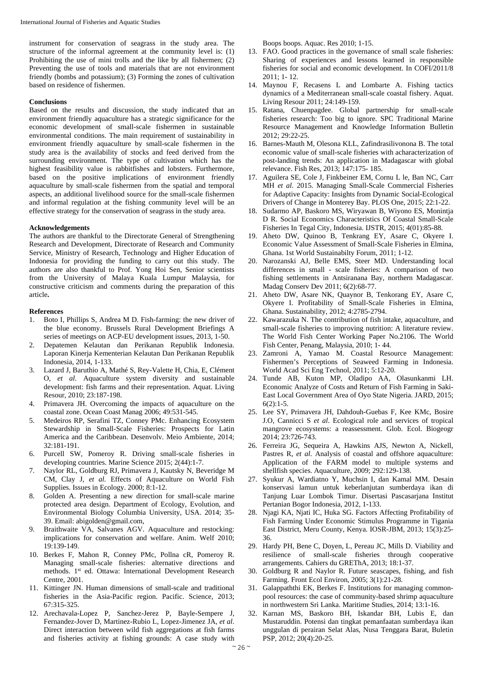instrument for conservation of seagrass in the study area. The structure of the informal agreement at the community level is: (1) Prohibiting the use of mini trolls and the like by all fishermen; (2) Preventing the use of tools and materials that are not environment friendly (bombs and potassium); (3) Forming the zones of cultivation based on residence of fishermen.

## **Conclusions**

Based on the results and discussion, the study indicated that an environment friendly aquaculture has a strategic significance for the economic development of small-scale fishermen in sustainable environmental conditions. The main requirement of sustainability in environment friendly aquaculture by small-scale fishermen in the study area is the availability of stocks and feed derived from the surrounding environment. The type of cultivation which has the highest feasibility value is rabbitfishes and lobsters. Furthermore, based on the positive implications of environment friendly aquaculture by small-scale fishermen from the spatial and temporal aspects, an additional livelihood source for the small-scale fishermen and informal regulation at the fishing community level will be an effective strategy for the conservation of seagrass in the study area.

#### **Acknowledgements**

The authors are thankful to the Directorate General of Strengthening Research and Development, Directorate of Research and Community Service, Ministry of Research, Technology and Higher Education of Indonesia for providing the funding to carry out this study. The authors are also thankful to Prof. Yong Hoi Sen, Senior scientists from the University of Malaya Kuala Lumpur Malaysia, for constructive criticism and comments during the preparation of this article**.** 

#### **References**

- 1. Boto I, Phillips S, Andrea M D. Fish-farming: the new driver of the blue economy. Brussels Rural Development Briefings A series of meetings on ACP-EU development issues, 2013, 1-50.
- 2. Depatemen Kelautan dan Perikanan Republik Indonesia. Laporan Kinerja Kementerian Kelautan Dan Perikanan Republik Indonesia, 2014, 1-133.
- 3. Lazard J, Baruthio A, Mathé S, Rey-Valette H, Chia, E, Clément O, *et al*. Aquaculture system diversity and sustainable development: fish farms and their representation. Aquat. Living Resour, 2010; 23:187-198.
- 4. Primavera JH. Overcoming the impacts of aquaculture on the coastal zone. Ocean Coast Manag 2006; 49:531-545.
- 5. Medeiros RP, Serafini TZ, Conney PMc. Enhancing Ecosystem Stewardship in Small-Scale Fisheries: Prospects for Latin America and the Caribbean. Desenvolv. Meio Ambiente, 2014; 32:181-191.
- 6. Purcell SW, Pomeroy R. Driving small-scale fisheries in developing countries. Marine Science 2015; 2(44):1-7.
- 7. Naylor RL, Goldburg RJ, Primavera J, Kautsky N, Beveridge M CM, Clay J, *et al.* Effects of Aquaculture on World Fish Supplies. Issues in Ecology. 2000; 8:1-12.
- 8. Golden A. Presenting a new direction for small-scale marine protected area design. Department of Ecology, Evolution, and Environmental Biology Columbia University, USA. 2014; 35- 39. Email: abigolden@gmail.com,
- Braithwaite VA, Salvanes AGV. Aquaculture and restocking: implications for conservation and welfare. Anim. Welf 2010; 19:139-149.
- 10. Berkes F, Mahon R, Conney PMc, Pollna cR, Pomeroy R. Managing small-scale fisheries: alternative directions and methods. 1st ed. Ottawa: International Development Research Centre, 2001.
- 11. Kittinger JN. Human dimensions of small-scale and traditional fisheries in the Asia-Pacific region. Pacific. Science, 2013; 67:315-325.
- 12. Arechavala-Lopez P, Sanchez-Jerez P, Bayle-Sempere J, Fernandez-Jover D, Martinez-Rubio L, Lopez-Jimenez JA, *et al*. Direct interaction between wild fish aggregations at fish farms and fisheries activity at fishing grounds: A case study with

Boops boops. Aquac. Res 2010; 1-15.

- 13. FAO. Good practices in the governance of small scale fisheries: Sharing of experiences and lessons learned in responsible fisheries for social and economic development. In COFI/2011/8 2011; 1- 12.
- 14. Maynou F, Recasens L and Lombarte A. Fishing tactics dynamics of a Mediterranean small-scale coastal fishery. Aquat. Living Resour 2011; 24:149-159.
- 15. Ratana, Chuenpagdee. Global partnership for small-scale fisheries research: Too big to ignore. SPC Traditional Marine Resource Management and Knowledge Information Bulletin 2012; 29:22-25.
- 16. Barnes-Mauth M, Olesona KLL, Zafindrasilivonona B. The total economic value of small-scale fisheries with acharacterization of post-landing trends: An application in Madagascar with global relevance. Fish Res, 2013; 147:175- 185.
- 17. Aguilera SE, Cole J, Finkbeiner EM, Cornu L le, Ban NC, Carr MH *et al*. 2015. Managing Small-Scale Commercial Fisheries for Adaptive Capacity: Insights from Dynamic Social-Ecological Drivers of Change in Monterey Bay. PLOS One, 2015; 22:1-22.
- 18. Sudarmo AP, Baskoro MS, Wiryawan B, Wiyono ES, Monintja D R. Social Economics Characteristics Of Coastal Small-Scale Fisheries In Tegal City, Indonesia. IJSTR, 2015; 4(01):85-88.
- 19. Aheto DW, Quinoo B, Tenkrang EY, Asare C, Okyere I. Economic Value Assessment of Small-Scale Fisheries in Elmina, Ghana. 1st World Sustainabilty Forum, 2011; 1-12.
- 20. Narozanski AJ, Belle EMS, Steer MD. Understanding local differences in small - scale fisheries: A comparison of two fishing settlements in Antsiranana Bay, northern Madagascar. Madag Conserv Dev 2011; 6(2):68-77.
- 21. Aheto DW, Asare NK, Quaynor B, Tenkorang EY, Asare C, Okyere I. Profitability of Small-Scale Fisheries in Elmina, Ghana. Sustainability, 2012; 4:2785-2794.
- 22. Kawarazuka N. The contribution of fish intake, aquaculture, and small-scale fisheries to improving nutrition: A literature review. The World Fish Center Working Paper No.2106. The World Fish Center, Penang, Malaysia, 2010; 1- 44.
- 23. Zamroni A, Yamao M. Coastal Resource Management: Fishermen's Perceptions of Seaweed Farming in Indonesia. World Acad Sci Eng Technol, 2011; 5:12-20.
- 24. Tunde AB, Kuton MP, Oladipo AA, Olasunkanmi LH. Economic Analyze of Costs and Return of Fish Farming in Saki-East Local Government Area of Oyo State Nigeria. JARD, 2015; 6(2):1-5.
- 25. Lee SY, Primavera JH, Dahdouh-Guebas F, Kee KMc, Bosire J.O, Cannicci S *et al*. Ecological role and services of tropical mangrove ecosystems: a reassessment. Glob. Ecol. Biogeogr 2014; 23:726-743.
- 26. Ferreira JG, Sequeira A, Hawkins AJS, Newton A, Nickell, Pastres R, *et al*. Analysis of coastal and offshore aquaculture: Application of the FARM model to multiple systems and shellfish species. Aquaculture, 2009; 292:129-138.
- 27. Syukur A, Wardiatno Y, Muchsin I, dan Kamal MM. Desain konservasi lamun untuk keberlanjutan sumberdaya ikan di Tanjung Luar Lombok Timur. Disertasi Pascasarjana Institut Pertanian Bogor Indonesia, 2012, 1-133.
- 28. Njagi KA, Njati IC, Huka SG. Factors Affecting Profitability of Fish Farming Under Economic Stimulus Programme in Tigania East District, Meru County, Kenya. IOSR-JBM, 2013; 15(3):25- 36.
- 29. Hardy PH, Bene C, Doyen, L, Pereau JC, Mills D. Viability and resilience of small-scale fisheries through cooperative arrangements. Cahiers du GREThA, 2013; 18:1-37.
- 30. Goldburg R and Naylor R. Future seascapes, fishing, and fish Farming. Front Ecol Environ, 2005; 3(1):21-28.
- 31. Galappaththi EK, Berkes F. Institutions for managing commonpool resources: the case of community-based shrimp aquaculture in northwestern Sri Lanka. Maritime Studies, 2014; 13:1-16.
- 32. Karnan MS, Baskoro BH, Iskandar BH, Lubis E, dan Mustaruddin. Potensi dan tingkat pemanfaatan sumberdaya ikan unggulan di perairan Selat Alas, Nusa Tenggara Barat, Buletin PSP, 2012; 20(4):20-25.